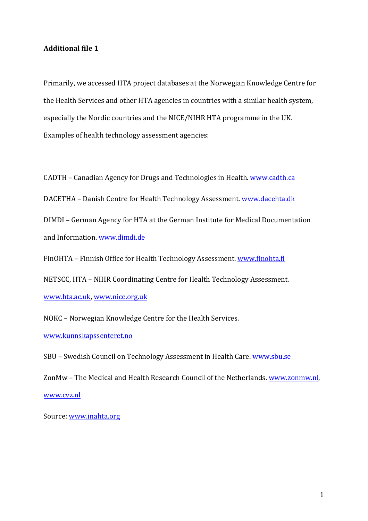## **Additional file 1**

Primarily, we accessed HTA project databases at the Norwegian Knowledge Centre for the Health Services and other HTA agencies in countries with a similar health system, especially the Nordic countries and the NICE/NIHR HTA programme in the UK. Examples of health technology assessment agencies:

CADTH – Canadian Agency for Drugs and Technologies in Health. www.cadth.ca

DACETHA - Danish Centre for Health Technology Assessment. www.dacehta.dk

DIMDI – German Agency for HTA at the German Institute for Medical Documentation and Information. www.dimdi.de

FinOHTA – Finnish Office for Health Technology Assessment. www.finohta.fi

NETSCC, HTA – NIHR Coordinating Centre for Health Technology Assessment.

www.hta.ac.uk, www.nice.org.uk

NOKC – Norwegian Knowledge Centre for the Health Services.

www.kunnskapssenteret.no

SBU - Swedish Council on Technology Assessment in Health Care. www.sbu.se

ZonMw – The Medical and Health Research Council of the Netherlands. www.zonmw.nl. www.cvz.nl

Source: www.inahta.org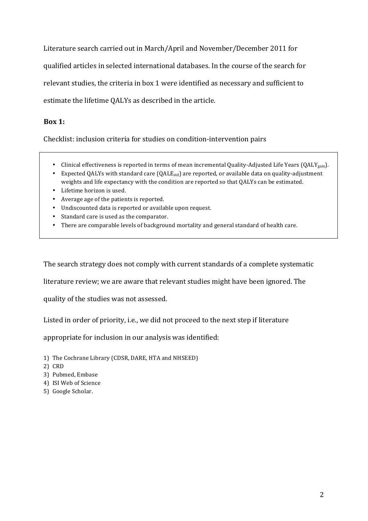Literature search carried out in March/April and November/December 2011 for qualified articles in selected international databases. In the course of the search for relevant studies, the criteria in box 1 were identified as necessary and sufficient to estimate the lifetime OALYs as described in the article.

## **Box 1:**

Checklist: inclusion criteria for studies on condition-intervention pairs

- Clinical effectiveness is reported in terms of mean incremental Quality-Adjusted Life Years (QALY<sub>gain</sub>).
- Expected QALYs with standard care  $(QALE<sub>std</sub>)$  are reported, or available data on quality-adjustment weights and life expectancy with the condition are reported so that QALYs can be estimated.
- Lifetime horizon is used.
- Average age of the patients is reported.
- Undiscounted data is reported or available upon request.
- Standard care is used as the comparator.
- There are comparable levels of background mortality and general standard of health care.

The search strategy does not comply with current standards of a complete systematic

literature review; we are aware that relevant studies might have been ignored. The

quality of the studies was not assessed.

Listed in order of priority, i.e., we did not proceed to the next step if literature

appropriate for inclusion in our analysis was identified:

- 1) The Cochrane Library (CDSR, DARE, HTA and NHSEED)
- 2) CRD
- 3) Pubmed, Embase
- 4) ISI Web of Science
- 5) Google Scholar.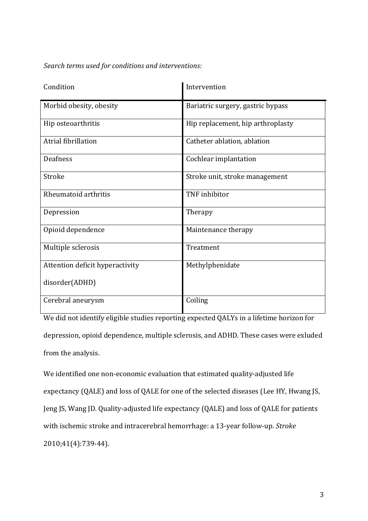## *Search terms used for conditions and interventions:*

| Condition                       | Intervention                      |
|---------------------------------|-----------------------------------|
| Morbid obesity, obesity         | Bariatric surgery, gastric bypass |
| Hip osteoarthritis              | Hip replacement, hip arthroplasty |
| Atrial fibrillation             | Catheter ablation, ablation       |
| <b>Deafness</b>                 | Cochlear implantation             |
| Stroke                          | Stroke unit, stroke management    |
| Rheumatoid arthritis            | TNF inhibitor                     |
| Depression                      | Therapy                           |
| Opioid dependence               | Maintenance therapy               |
| Multiple sclerosis              | Treatment                         |
| Attention deficit hyperactivity | Methylphenidate                   |
| disorder(ADHD)                  |                                   |
| Cerebral aneurysm               | Coiling                           |

We did not identify eligible studies reporting expected QALYs in a lifetime horizon for depression, opioid dependence, multiple sclerosis, and ADHD. These cases were exluded from the analysis.

We identified one non-economic evaluation that estimated quality-adjusted life expectancy (QALE) and loss of QALE for one of the selected diseases (Lee HY, Hwang JS, Jeng JS, Wang JD. Quality-adjusted life expectancy (QALE) and loss of QALE for patients with ischemic stroke and intracerebral hemorrhage: a 13-year follow-up. Stroke 2010;41(4):739-44).